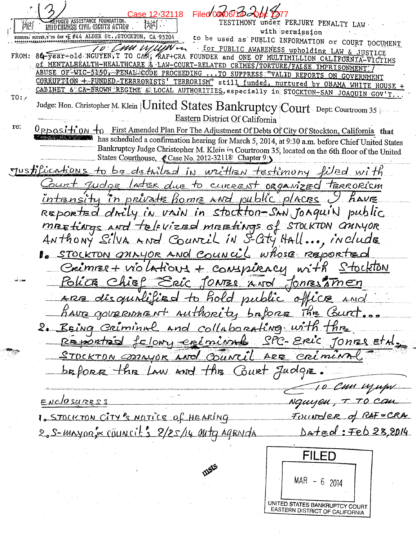| Case 12-32118<br>Filed C<br>REFUGEE ASSISTANCE FOUNDATION.<br>INDO CHINESE CIVIL RIGHTS ACTION                                                                                        | TESTIMONY under PERJURY PENALTY LAW                                   |
|---------------------------------------------------------------------------------------------------------------------------------------------------------------------------------------|-----------------------------------------------------------------------|
| FOORDER: NGUYEN, T'TO CAN *E #44 ALDER St., STOCKTON, CA 95204                                                                                                                        | with permission<br>to be used as PUBLIC INFORMATION or COURT DOCUMENT |
| TO CHUMUHUMU                                                                                                                                                                          | for PUBLIC AWARENESS upholding LAW & JUSTICE                          |
| FROM: 84-year-old NGUYEN, I TO CAN, KAF+CRA FOUNDER and ONE OF MULTIMILLION CALIFORNIA-VICTIMS<br>Of MENTALHEALTH-HEALTHCARE & LAW-COURT-RELATED CRIMES/TORTURE/FALSE IMPRISONMENT    |                                                                       |
| ABUSE OF WIC-5150, PENAL CODE PROCEEDING  TO SUPPRESS "VALID REPORTS ON GOVERNMENT                                                                                                    |                                                                       |
| CORRUPTION + FUNDED TERRRORISTS' TERRORISM" still funded, nurtured by OBAMA WHITE HOUSE +<br>CABINET & CA-BROWN REGIME & LOCAL AUTHORITIES, especially in STOCKTON-SAN JOAQUIN GOV'T. |                                                                       |
| TO:<br>Judge: Hon. Christopher M. Klein   United States Bankruptcy Court Dept: Courtroom 35                                                                                           |                                                                       |
| Eastern District Of California                                                                                                                                                        |                                                                       |
| re:<br><u>Upposition</u><br>First Amended Plan For The Adjustment Of Debts Of City Of Stockton, California that                                                                       |                                                                       |
| has scheduled a confirmation hearing for March 5, 2014, at 9:30 a.m. before Chief United States                                                                                       |                                                                       |
| Bankruptcy Judge Christopher M. Klein in Courtroom 35, located on the 6th floor of the United<br>States Courthouse, Case No. 2012-32118 Chapter 9                                     |                                                                       |
| Justifications to be detailed in written testimony filed with                                                                                                                         |                                                                       |
| <u>ourt judge later due to current</u> organized terrorism                                                                                                                            |                                                                       |
| intensity in private home and public places I have                                                                                                                                    |                                                                       |
| REPORTED drily in vain in stockton-SAN JOAquin public                                                                                                                                 |                                                                       |
| MEETINGS AND TELEVIEED MEETINGS of STOCKTON OMINYOR                                                                                                                                   |                                                                       |
| ANTHONY Silva AND Council IN S-City Hall, include                                                                                                                                     |                                                                       |
| 1. STOCKTON ONNYOR AND COUNCIL Whose REported                                                                                                                                         |                                                                       |
| Crimmes + violations + conspiracy with StockTON                                                                                                                                       |                                                                       |
| <u>Police Chief Eric JONES And Jones Sinen</u>                                                                                                                                        |                                                                       |
| ARE disquirified to hold public office And                                                                                                                                            |                                                                       |
| have government authority bafore the Gurt                                                                                                                                             |                                                                       |
| 2. Being Caiminal and collaborating with the                                                                                                                                          |                                                                       |
| Reportéd felony créminal SPC-Eric Jonnes et d.                                                                                                                                        |                                                                       |
|                                                                                                                                                                                       |                                                                       |
| STOCKTON MAYOR AND COUNCIL ARE CRÉMINAL                                                                                                                                               |                                                                       |
| before the Law and the Court Judge.                                                                                                                                                   |                                                                       |
|                                                                                                                                                                                       | 10 Cm njupi                                                           |
| ENCLOSURESS                                                                                                                                                                           | Nguyen, T TO Can                                                      |
| 1. STOCKTON CITY'S NOTICE Of HEARING                                                                                                                                                  | FULLNOTER of RAF & CRA                                                |
| 2.5-MAYOR's COUNCIL'S 2/25/14 MHZ AGENICA                                                                                                                                             | Dated: Feb 28,2014                                                    |
|                                                                                                                                                                                       |                                                                       |
|                                                                                                                                                                                       | <b>FILED</b>                                                          |
|                                                                                                                                                                                       |                                                                       |
|                                                                                                                                                                                       | $MAR - 6$ 2014                                                        |
|                                                                                                                                                                                       | UNITED STATES BANKRUPTCY COURT                                        |
|                                                                                                                                                                                       | EASTERN DISTRICT OF CALIFORNIA                                        |

 $\frac{1}{2}$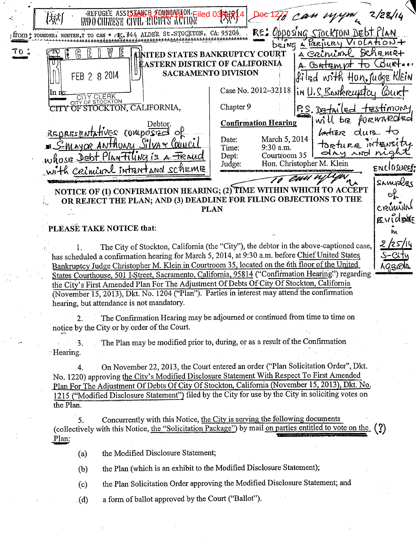|      | REFUGEE ASSISTING E FUNDAMENT Filed 03<br>INDO CHINESE (T                                                                                                                                                                                                                                                                                                                                                                                  |                                                                                                                                                                                                                                                                                                                                                                                                                                                                | 2/28/14                                                       |
|------|--------------------------------------------------------------------------------------------------------------------------------------------------------------------------------------------------------------------------------------------------------------------------------------------------------------------------------------------------------------------------------------------------------------------------------------------|----------------------------------------------------------------------------------------------------------------------------------------------------------------------------------------------------------------------------------------------------------------------------------------------------------------------------------------------------------------------------------------------------------------------------------------------------------------|---------------------------------------------------------------|
|      | ITOM : FOUNDER: NGUYEN, T TO CAN * /E. #44 ALDER St. STOCKTON, CA. 95204.                                                                                                                                                                                                                                                                                                                                                                  | RE: Opposing STOCKTON DEDT PLAN                                                                                                                                                                                                                                                                                                                                                                                                                                | VIOLATIONT                                                    |
| TO : | IZ.<br>FEB 2 8 2014<br>in ne<br>CITY CLERK  <br>CITY OF STOCKTON, CALIFORNIA,<br>Debtor.<br>REDRESENTATIVES COMPOSEE of<br><u>E S-Mayor Anthony Silvax Council</u><br>whose Dept Plan Tiling is a Treaud                                                                                                                                                                                                                                   | DEING A PERILLRY<br><u>s Crininl</u><br><b>UNITED STATES BANKRUPTCY COURT</b><br><b>EASTERN DISTRICT OF CALIFORNIA</b><br>A Contien pt to<br><b>SACRAMENTO DIVISION</b><br>filed with Hon, Judge KlEin<br>Case No. 2012-32118<br>in U.S. Bankrouptey<br>Chapter 9<br>DETAL<br><b>RO</b><br>pis<br><b>Confirmation Hearing</b><br>dur<br>Latiere<br>March 5, 2014<br>Date:<br>torture intensity.<br>9:30 a.m.<br>Time:<br>day and nigh<br>Courtroom 35<br>Dept: | Schemet<br><i>Courteen</i><br>lòurt<br>testimony<br>PORWARDED |
|      | with criminal intentand scheme                                                                                                                                                                                                                                                                                                                                                                                                             | Hon. Christopher M. Klein<br>Judge:                                                                                                                                                                                                                                                                                                                                                                                                                            | ENCLOSURESS                                                   |
|      |                                                                                                                                                                                                                                                                                                                                                                                                                                            | NOTICE OF (1) CONFIRMATION HEARING; (2) TIME WITHIN WHICH TO ACCEPT<br>OR REJECT THE PLAN; AND (3) DEADLINE FOR FILING OBJECTIONS TO THE<br><b>PLAN</b>                                                                                                                                                                                                                                                                                                        | SAMPLES<br>Θζ<br>cremini<br>EvidDNE                           |
|      | PLEASE TAKE NOTICE that:                                                                                                                                                                                                                                                                                                                                                                                                                   |                                                                                                                                                                                                                                                                                                                                                                                                                                                                |                                                               |
|      | has scheduled a confirmation hearing for March 5, 2014, at 9:30 a.m. before Chief United States<br>Bankruptcy Judge Christopher M. Klein in Courtroom 35, located on the 6th floor of the United<br>the City's First Amended Plan For The Adjustment Of Debts Of City Of Stockton, California<br>(November 15, 2013), Dkt. No. 1204 ("Plan"). Parties in interest may attend the confirmation<br>hearing, but attendance is not mandatory. | The City of Stockton, California (the "City"), the debtor in the above-captioned case,<br>States Courthouse, 501 I Street, Sacramento, California, 95814 ("Confirmation Hearing") regarding                                                                                                                                                                                                                                                                    | 2/25/14<br>S-City<br>AGBIBID                                  |
|      | 2.<br>notice by the City or by order of the Court.                                                                                                                                                                                                                                                                                                                                                                                         | The Confirmation Hearing may be adjourned or continued from time to time on                                                                                                                                                                                                                                                                                                                                                                                    |                                                               |
|      | 3.<br>Hearing.                                                                                                                                                                                                                                                                                                                                                                                                                             | The Plan may be modified prior to, during, or as a result of the Confirmation                                                                                                                                                                                                                                                                                                                                                                                  |                                                               |
|      | 4.<br>No. 1220) approving the City's Modified Disclosure Statement With Respect To First Amended<br>the Plan.                                                                                                                                                                                                                                                                                                                              | On November 22, 2013, the Court entered an order ("Plan Solicitation Order", Dkt.<br>Plan For The Adjustment Of Debts Of City Of Stockton, California (November 15, 2013), Dkt. No.<br>1215 ("Modified Disclosure Statement") filed by the City for use by the City in soliciting votes on                                                                                                                                                                     |                                                               |
|      | 5.                                                                                                                                                                                                                                                                                                                                                                                                                                         | Concurrently with this Notice, the City is serving the following documents                                                                                                                                                                                                                                                                                                                                                                                     | $\mathbf{C}$                                                  |

(collectively with this Notice, the "Solicitation Package") by mail on parties entitled to vote on the  $(?)$ Plan:

the Modified Disclosure Statement;  $(a)$ 

 $\gamma_{\rm E}$ 

the Plan (which is an exhibit to the Modified Disclosure Statement);  $(b)$ 

the Plan Solicitation Order approving the Modified Disclosure Statement; and  $(c)$ 

a form of ballot approved by the Court ("Ballot").  $(d)$